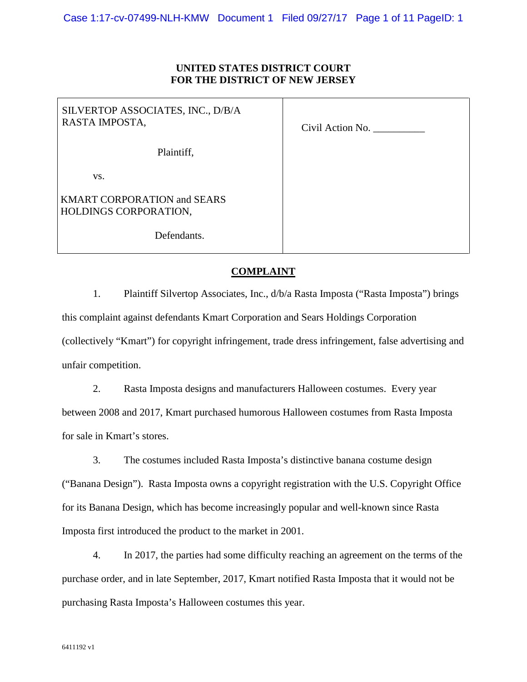## **UNITED STATES DISTRICT COURT FOR THE DISTRICT OF NEW JERSEY**

| SILVERTOP ASSOCIATES, INC., D/B/A<br>RASTA IMPOSTA,         | Civil Action No. |
|-------------------------------------------------------------|------------------|
| Plaintiff,                                                  |                  |
| VS.                                                         |                  |
| <b>KMART CORPORATION and SEARS</b><br>HOLDINGS CORPORATION, |                  |
| Defendants.                                                 |                  |

# **COMPLAINT**

1. Plaintiff Silvertop Associates, Inc., d/b/a Rasta Imposta ("Rasta Imposta") brings this complaint against defendants Kmart Corporation and Sears Holdings Corporation (collectively "Kmart") for copyright infringement, trade dress infringement, false advertising and unfair competition.

2. Rasta Imposta designs and manufacturers Halloween costumes. Every year between 2008 and 2017, Kmart purchased humorous Halloween costumes from Rasta Imposta for sale in Kmart's stores.

3. The costumes included Rasta Imposta's distinctive banana costume design ("Banana Design"). Rasta Imposta owns a copyright registration with the U.S. Copyright Office for its Banana Design, which has become increasingly popular and well-known since Rasta Imposta first introduced the product to the market in 2001.

4. In 2017, the parties had some difficulty reaching an agreement on the terms of the purchase order, and in late September, 2017, Kmart notified Rasta Imposta that it would not be purchasing Rasta Imposta's Halloween costumes this year.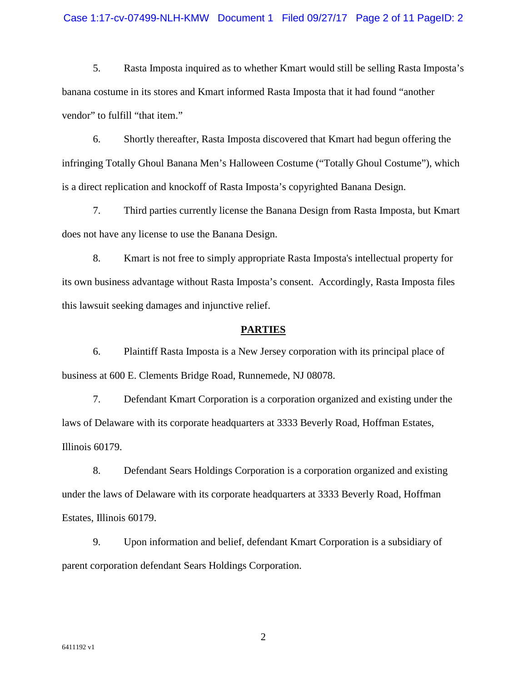#### Case 1:17-cv-07499-NLH-KMW Document 1 Filed 09/27/17 Page 2 of 11 PageID: 2

5. Rasta Imposta inquired as to whether Kmart would still be selling Rasta Imposta's banana costume in its stores and Kmart informed Rasta Imposta that it had found "another vendor" to fulfill "that item."

6. Shortly thereafter, Rasta Imposta discovered that Kmart had begun offering the infringing Totally Ghoul Banana Men's Halloween Costume ("Totally Ghoul Costume"), which is a direct replication and knockoff of Rasta Imposta's copyrighted Banana Design.

7. Third parties currently license the Banana Design from Rasta Imposta, but Kmart does not have any license to use the Banana Design.

8. Kmart is not free to simply appropriate Rasta Imposta's intellectual property for its own business advantage without Rasta Imposta's consent. Accordingly, Rasta Imposta files this lawsuit seeking damages and injunctive relief.

#### **PARTIES**

6. Plaintiff Rasta Imposta is a New Jersey corporation with its principal place of business at 600 E. Clements Bridge Road, Runnemede, NJ 08078.

7. Defendant Kmart Corporation is a corporation organized and existing under the laws of Delaware with its corporate headquarters at 3333 Beverly Road, Hoffman Estates, Illinois 60179.

8. Defendant Sears Holdings Corporation is a corporation organized and existing under the laws of Delaware with its corporate headquarters at 3333 Beverly Road, Hoffman Estates, Illinois 60179.

9. Upon information and belief, defendant Kmart Corporation is a subsidiary of parent corporation defendant Sears Holdings Corporation.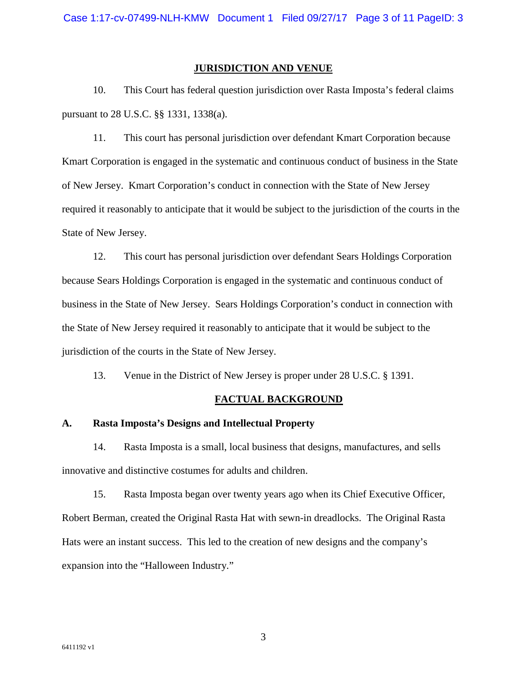#### **JURISDICTION AND VENUE**

10. This Court has federal question jurisdiction over Rasta Imposta's federal claims pursuant to 28 U.S.C. §§ 1331, 1338(a).

11. This court has personal jurisdiction over defendant Kmart Corporation because Kmart Corporation is engaged in the systematic and continuous conduct of business in the State of New Jersey. Kmart Corporation's conduct in connection with the State of New Jersey required it reasonably to anticipate that it would be subject to the jurisdiction of the courts in the State of New Jersey.

12. This court has personal jurisdiction over defendant Sears Holdings Corporation because Sears Holdings Corporation is engaged in the systematic and continuous conduct of business in the State of New Jersey. Sears Holdings Corporation's conduct in connection with the State of New Jersey required it reasonably to anticipate that it would be subject to the jurisdiction of the courts in the State of New Jersey.

13. Venue in the District of New Jersey is proper under 28 U.S.C. § 1391.

## **FACTUAL BACKGROUND**

#### **A. Rasta Imposta's Designs and Intellectual Property**

14. Rasta Imposta is a small, local business that designs, manufactures, and sells innovative and distinctive costumes for adults and children.

15. Rasta Imposta began over twenty years ago when its Chief Executive Officer, Robert Berman, created the Original Rasta Hat with sewn-in dreadlocks. The Original Rasta Hats were an instant success. This led to the creation of new designs and the company's expansion into the "Halloween Industry."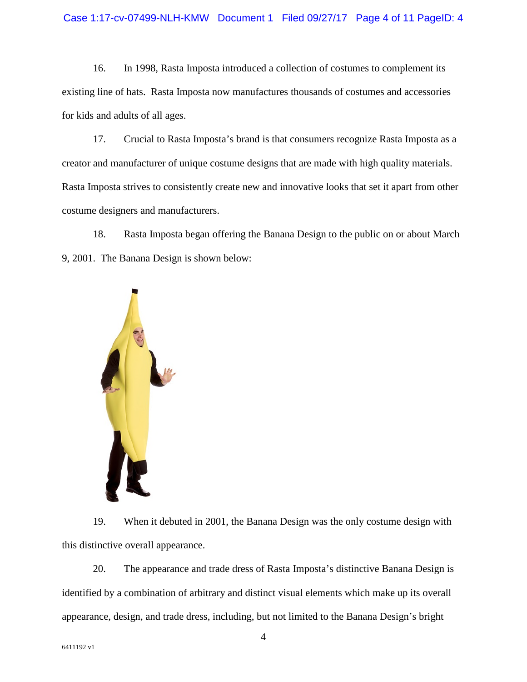16. In 1998, Rasta Imposta introduced a collection of costumes to complement its existing line of hats. Rasta Imposta now manufactures thousands of costumes and accessories for kids and adults of all ages.

17. Crucial to Rasta Imposta's brand is that consumers recognize Rasta Imposta as a creator and manufacturer of unique costume designs that are made with high quality materials. Rasta Imposta strives to consistently create new and innovative looks that set it apart from other costume designers and manufacturers.

18. Rasta Imposta began offering the Banana Design to the public on or about March 9, 2001. The Banana Design is shown below:



19. When it debuted in 2001, the Banana Design was the only costume design with this distinctive overall appearance.

20. The appearance and trade dress of Rasta Imposta's distinctive Banana Design is identified by a combination of arbitrary and distinct visual elements which make up its overall appearance, design, and trade dress, including, but not limited to the Banana Design's bright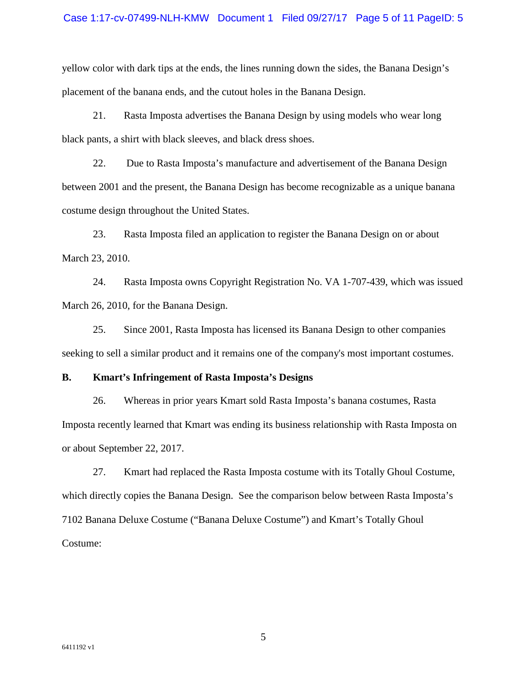#### Case 1:17-cv-07499-NLH-KMW Document 1 Filed 09/27/17 Page 5 of 11 PageID: 5

yellow color with dark tips at the ends, the lines running down the sides, the Banana Design's placement of the banana ends, and the cutout holes in the Banana Design.

21. Rasta Imposta advertises the Banana Design by using models who wear long black pants, a shirt with black sleeves, and black dress shoes.

22. Due to Rasta Imposta's manufacture and advertisement of the Banana Design between 2001 and the present, the Banana Design has become recognizable as a unique banana costume design throughout the United States.

23. Rasta Imposta filed an application to register the Banana Design on or about March 23, 2010.

24. Rasta Imposta owns Copyright Registration No. VA 1-707-439, which was issued March 26, 2010, for the Banana Design.

25. Since 2001, Rasta Imposta has licensed its Banana Design to other companies seeking to sell a similar product and it remains one of the company's most important costumes.

#### **B. Kmart's Infringement of Rasta Imposta's Designs**

26. Whereas in prior years Kmart sold Rasta Imposta's banana costumes, Rasta Imposta recently learned that Kmart was ending its business relationship with Rasta Imposta on or about September 22, 2017.

27. Kmart had replaced the Rasta Imposta costume with its Totally Ghoul Costume, which directly copies the Banana Design. See the comparison below between Rasta Imposta's 7102 Banana Deluxe Costume ("Banana Deluxe Costume") and Kmart's Totally Ghoul Costume: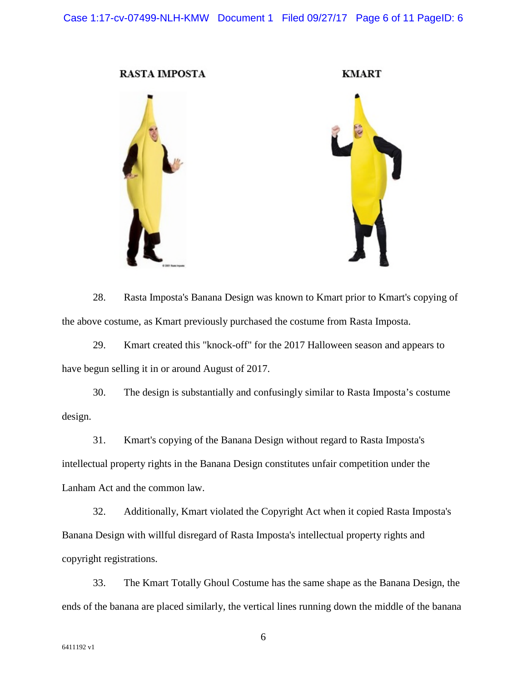**RASTA IMPOSTA** 

**KMART** 



28. Rasta Imposta's Banana Design was known to Kmart prior to Kmart's copying of the above costume, as Kmart previously purchased the costume from Rasta Imposta.

29. Kmart created this "knock-off" for the 2017 Halloween season and appears to have begun selling it in or around August of 2017.

30. The design is substantially and confusingly similar to Rasta Imposta's costume design.

31. Kmart's copying of the Banana Design without regard to Rasta Imposta's intellectual property rights in the Banana Design constitutes unfair competition under the Lanham Act and the common law.

32. Additionally, Kmart violated the Copyright Act when it copied Rasta Imposta's Banana Design with willful disregard of Rasta Imposta's intellectual property rights and copyright registrations.

33. The Kmart Totally Ghoul Costume has the same shape as the Banana Design, the ends of the banana are placed similarly, the vertical lines running down the middle of the banana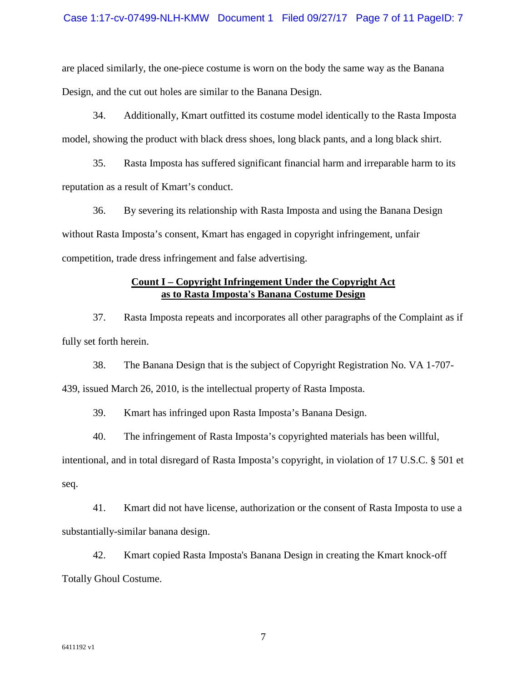are placed similarly, the one-piece costume is worn on the body the same way as the Banana Design, and the cut out holes are similar to the Banana Design.

34. Additionally, Kmart outfitted its costume model identically to the Rasta Imposta model, showing the product with black dress shoes, long black pants, and a long black shirt.

35. Rasta Imposta has suffered significant financial harm and irreparable harm to its reputation as a result of Kmart's conduct.

36. By severing its relationship with Rasta Imposta and using the Banana Design without Rasta Imposta's consent, Kmart has engaged in copyright infringement, unfair competition, trade dress infringement and false advertising.

## **Count I – Copyright Infringement Under the Copyright Act as to Rasta Imposta's Banana Costume Design**

37. Rasta Imposta repeats and incorporates all other paragraphs of the Complaint as if fully set forth herein.

38. The Banana Design that is the subject of Copyright Registration No. VA 1-707- 439, issued March 26, 2010, is the intellectual property of Rasta Imposta.

39. Kmart has infringed upon Rasta Imposta's Banana Design.

40. The infringement of Rasta Imposta's copyrighted materials has been willful,

intentional, and in total disregard of Rasta Imposta's copyright, in violation of 17 U.S.C. § 501 et seq.

41. Kmart did not have license, authorization or the consent of Rasta Imposta to use a substantially-similar banana design.

42. Kmart copied Rasta Imposta's Banana Design in creating the Kmart knock-off Totally Ghoul Costume.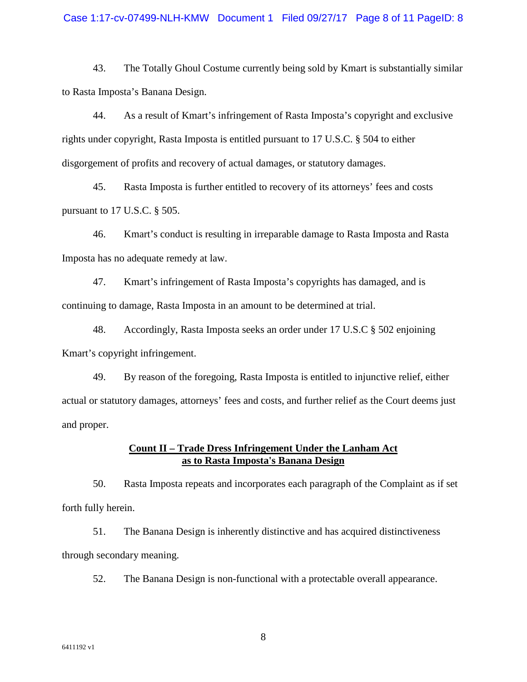43. The Totally Ghoul Costume currently being sold by Kmart is substantially similar to Rasta Imposta's Banana Design.

44. As a result of Kmart's infringement of Rasta Imposta's copyright and exclusive rights under copyright, Rasta Imposta is entitled pursuant to 17 U.S.C. § 504 to either disgorgement of profits and recovery of actual damages, or statutory damages.

45. Rasta Imposta is further entitled to recovery of its attorneys' fees and costs pursuant to 17 U.S.C. § 505.

46. Kmart's conduct is resulting in irreparable damage to Rasta Imposta and Rasta Imposta has no adequate remedy at law.

47. Kmart's infringement of Rasta Imposta's copyrights has damaged, and is continuing to damage, Rasta Imposta in an amount to be determined at trial.

48. Accordingly, Rasta Imposta seeks an order under 17 U.S.C § 502 enjoining Kmart's copyright infringement.

49. By reason of the foregoing, Rasta Imposta is entitled to injunctive relief, either actual or statutory damages, attorneys' fees and costs, and further relief as the Court deems just and proper.

### **Count II – Trade Dress Infringement Under the Lanham Act as to Rasta Imposta's Banana Design**

50. Rasta Imposta repeats and incorporates each paragraph of the Complaint as if set forth fully herein.

51. The Banana Design is inherently distinctive and has acquired distinctiveness through secondary meaning.

52. The Banana Design is non-functional with a protectable overall appearance.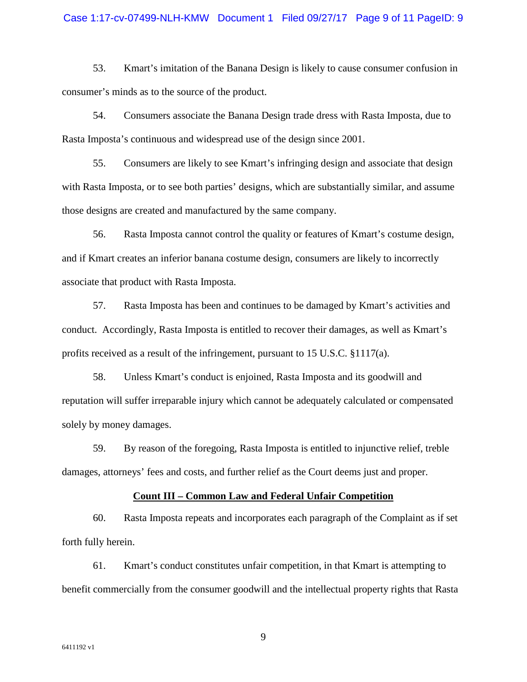#### Case 1:17-cv-07499-NLH-KMW Document 1 Filed 09/27/17 Page 9 of 11 PageID: 9

53. Kmart's imitation of the Banana Design is likely to cause consumer confusion in consumer's minds as to the source of the product.

54. Consumers associate the Banana Design trade dress with Rasta Imposta, due to Rasta Imposta's continuous and widespread use of the design since 2001.

55. Consumers are likely to see Kmart's infringing design and associate that design with Rasta Imposta, or to see both parties' designs, which are substantially similar, and assume those designs are created and manufactured by the same company.

56. Rasta Imposta cannot control the quality or features of Kmart's costume design, and if Kmart creates an inferior banana costume design, consumers are likely to incorrectly associate that product with Rasta Imposta.

57. Rasta Imposta has been and continues to be damaged by Kmart's activities and conduct. Accordingly, Rasta Imposta is entitled to recover their damages, as well as Kmart's profits received as a result of the infringement, pursuant to 15 U.S.C. §1117(a).

58. Unless Kmart's conduct is enjoined, Rasta Imposta and its goodwill and reputation will suffer irreparable injury which cannot be adequately calculated or compensated solely by money damages.

59. By reason of the foregoing, Rasta Imposta is entitled to injunctive relief, treble damages, attorneys' fees and costs, and further relief as the Court deems just and proper.

### **Count III – Common Law and Federal Unfair Competition**

60. Rasta Imposta repeats and incorporates each paragraph of the Complaint as if set forth fully herein.

61. Kmart's conduct constitutes unfair competition, in that Kmart is attempting to benefit commercially from the consumer goodwill and the intellectual property rights that Rasta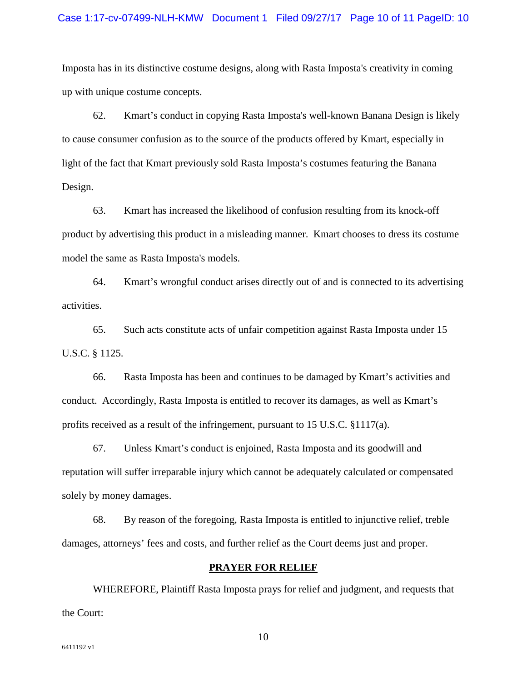#### Case 1:17-cv-07499-NLH-KMW Document 1 Filed 09/27/17 Page 10 of 11 PageID: 10

Imposta has in its distinctive costume designs, along with Rasta Imposta's creativity in coming up with unique costume concepts.

62. Kmart's conduct in copying Rasta Imposta's well-known Banana Design is likely to cause consumer confusion as to the source of the products offered by Kmart, especially in light of the fact that Kmart previously sold Rasta Imposta's costumes featuring the Banana Design.

63. Kmart has increased the likelihood of confusion resulting from its knock-off product by advertising this product in a misleading manner. Kmart chooses to dress its costume model the same as Rasta Imposta's models.

64. Kmart's wrongful conduct arises directly out of and is connected to its advertising activities.

65. Such acts constitute acts of unfair competition against Rasta Imposta under 15 U.S.C. § 1125.

66. Rasta Imposta has been and continues to be damaged by Kmart's activities and conduct. Accordingly, Rasta Imposta is entitled to recover its damages, as well as Kmart's profits received as a result of the infringement, pursuant to 15 U.S.C.  $\S 1117(a)$ .

67. Unless Kmart's conduct is enjoined, Rasta Imposta and its goodwill and reputation will suffer irreparable injury which cannot be adequately calculated or compensated solely by money damages.

68. By reason of the foregoing, Rasta Imposta is entitled to injunctive relief, treble damages, attorneys' fees and costs, and further relief as the Court deems just and proper.

#### **PRAYER FOR RELIEF**

WHEREFORE, Plaintiff Rasta Imposta prays for relief and judgment, and requests that the Court: